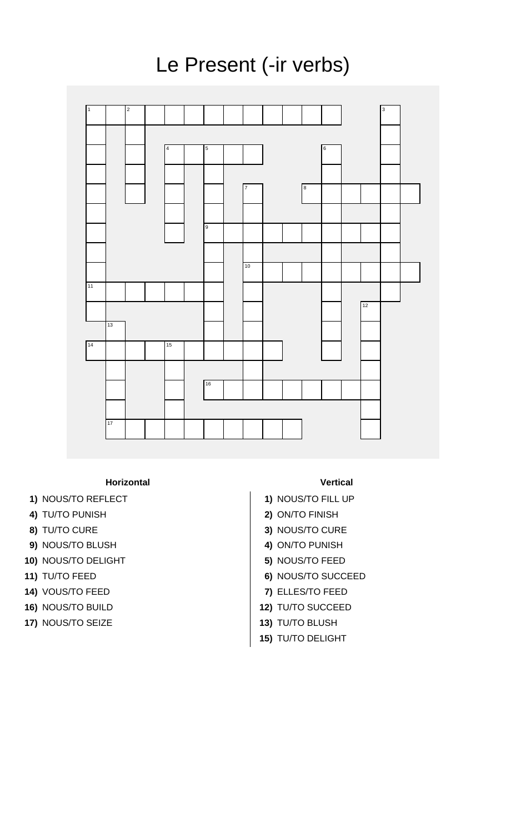## Le Present (-ir verbs)



**Horizontal Vertical**

- 
- 
- 
- **9)** NOUS/TO BLUSH **4)** ON/TO PUNISH
- **10)** NOUS/TO DELIGHT **5)** NOUS/TO FEED
- 
- **14)** VOUS/TO FEED **7)** ELLES/TO FEED
- 
- **17)** NOUS/TO SEIZE **13)** TU/TO BLUSH

- 1) NOUS/TO REFLECT 1 1) NOUS/TO FILL UP
- **4)** TU/TO PUNISH **2)** ON/TO FINISH
- **8)** TU/TO CURE **3)** NOUS/TO CURE
	-
	-
- **11)** TU/TO FEED **6)** NOUS/TO SUCCEED
	-
- **16)** NOUS/TO BUILD **12)** TU/TO SUCCEED
	-
	- **15)** TU/TO DELIGHT